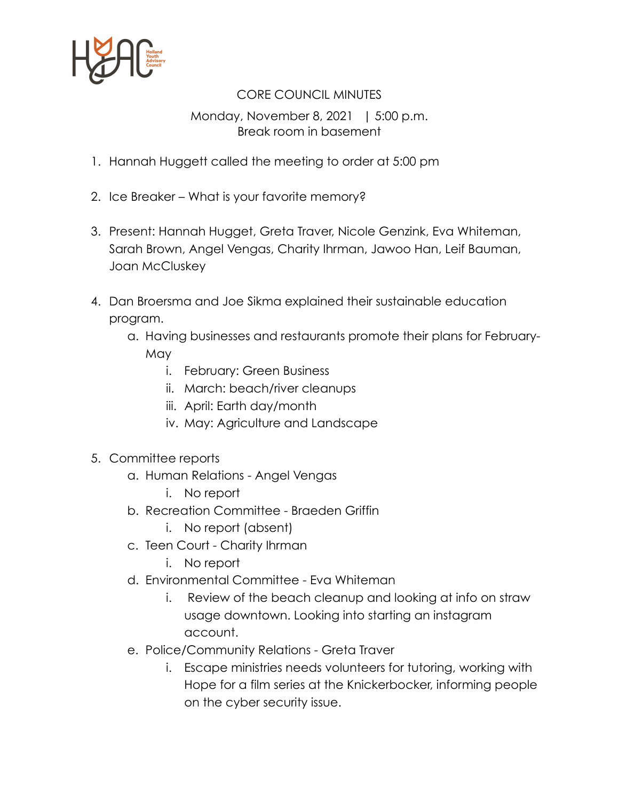

## CORE COUNCIL MINUTES

## Monday, November 8, 2021 | 5:00 p.m. Break room in basement

- 1. Hannah Huggett called the meeting to order at 5:00 pm
- 2. Ice Breaker What is your favorite memory?
- 3. Present: Hannah Hugget, Greta Traver, Nicole Genzink, Eva Whiteman, Sarah Brown, Angel Vengas, Charity Ihrman, Jawoo Han, Leif Bauman, Joan McCluskey
- 4. Dan Broersma and Joe Sikma explained their sustainable education program.
	- a. Having businesses and restaurants promote their plans for February-May
		- i. February: Green Business
		- ii. March: beach/river cleanups
		- iii. April: Earth day/month
		- iv. May: Agriculture and Landscape
- 5. Committee reports
	- a. Human Relations Angel Vengas
		- i. No report
	- b. Recreation Committee Braeden Griffin
		- i. No report (absent)
	- c. Teen Court Charity Ihrman
		- i. No report
	- d. Environmental Committee Eva Whiteman
		- i. Review of the beach cleanup and looking at info on straw usage downtown. Looking into starting an instagram account.
	- e. Police/Community Relations Greta Traver
		- i. Escape ministries needs volunteers for tutoring, working with Hope for a film series at the Knickerbocker, informing people on the cyber security issue.